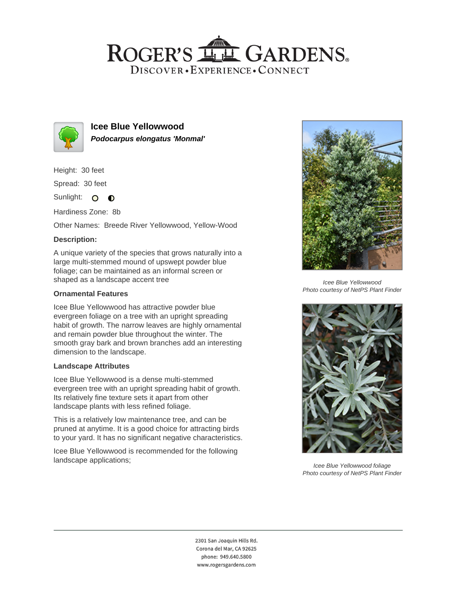## ROGER'S LL GARDENS. DISCOVER · EXPERIENCE · CONNECT



**Icee Blue Yellowwood Podocarpus elongatus 'Monmal'**

Height: 30 feet

Spread: 30 feet

Sunlight: O **O** 

Hardiness Zone: 8b

Other Names: Breede River Yellowwood, Yellow-Wood

### **Description:**

A unique variety of the species that grows naturally into a large multi-stemmed mound of upswept powder blue foliage; can be maintained as an informal screen or shaped as a landscape accent tree

#### **Ornamental Features**

Icee Blue Yellowwood has attractive powder blue evergreen foliage on a tree with an upright spreading habit of growth. The narrow leaves are highly ornamental and remain powder blue throughout the winter. The smooth gray bark and brown branches add an interesting dimension to the landscape.

#### **Landscape Attributes**

Icee Blue Yellowwood is a dense multi-stemmed evergreen tree with an upright spreading habit of growth. Its relatively fine texture sets it apart from other landscape plants with less refined foliage.

This is a relatively low maintenance tree, and can be pruned at anytime. It is a good choice for attracting birds to your yard. It has no significant negative characteristics.

Icee Blue Yellowwood is recommended for the following landscape applications;



Icee Blue Yellowwood Photo courtesy of NetPS Plant Finder



Icee Blue Yellowwood foliage Photo courtesy of NetPS Plant Finder

2301 San Joaquin Hills Rd. Corona del Mar, CA 92625 phone: 949.640.5800 www.rogersgardens.com